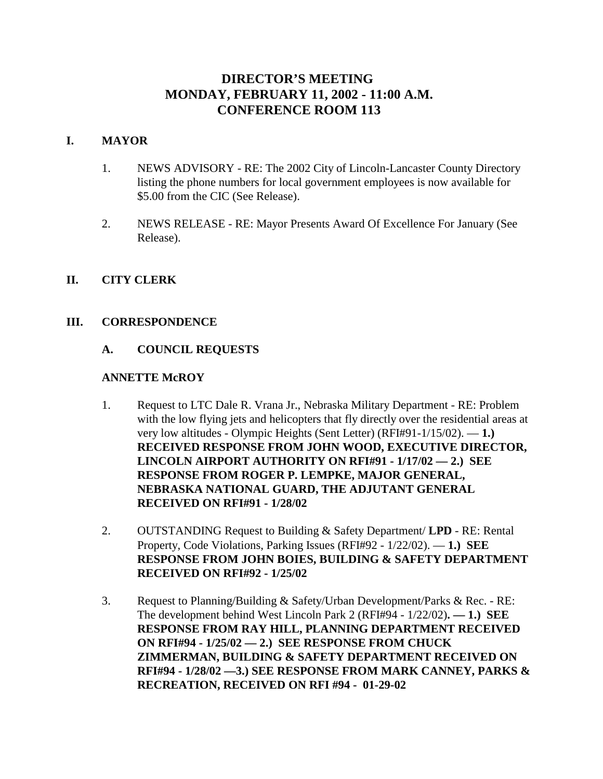# **DIRECTOR'S MEETING MONDAY, FEBRUARY 11, 2002 - 11:00 A.M. CONFERENCE ROOM 113**

# **I. MAYOR**

- 1. NEWS ADVISORY RE: The 2002 City of Lincoln-Lancaster County Directory listing the phone numbers for local government employees is now available for \$5.00 from the CIC (See Release).
- 2. NEWS RELEASE RE: Mayor Presents Award Of Excellence For January (See Release).

# **II. CITY CLERK**

# **III. CORRESPONDENCE**

# **A. COUNCIL REQUESTS**

## **ANNETTE McROY**

- 1. Request to LTC Dale R. Vrana Jr., Nebraska Military Department RE: Problem with the low flying jets and helicopters that fly directly over the residential areas at very low altitudes - Olympic Heights (Sent Letter) (RFI#91-1/15/02). — **1.) RECEIVED RESPONSE FROM JOHN WOOD, EXECUTIVE DIRECTOR, LINCOLN AIRPORT AUTHORITY ON RFI#91 - 1/17/02 — 2.) SEE RESPONSE FROM ROGER P. LEMPKE, MAJOR GENERAL, NEBRASKA NATIONAL GUARD, THE ADJUTANT GENERAL RECEIVED ON RFI#91 - 1/28/02**
- 2. OUTSTANDING Request to Building & Safety Department/ **LPD** RE: Rental Property, Code Violations, Parking Issues (RFI#92 - 1/22/02). — **1.) SEE RESPONSE FROM JOHN BOIES, BUILDING & SAFETY DEPARTMENT RECEIVED ON RFI#92 - 1/25/02**
- 3. Request to Planning/Building & Safety/Urban Development/Parks & Rec. RE: The development behind West Lincoln Park 2 (RFI#94 - 1/22/02)**. — 1.) SEE RESPONSE FROM RAY HILL, PLANNING DEPARTMENT RECEIVED ON RFI#94 - 1/25/02 — 2.) SEE RESPONSE FROM CHUCK ZIMMERMAN, BUILDING & SAFETY DEPARTMENT RECEIVED ON RFI#94 - 1/28/02 —3.) SEE RESPONSE FROM MARK CANNEY, PARKS & RECREATION, RECEIVED ON RFI #94 - 01-29-02**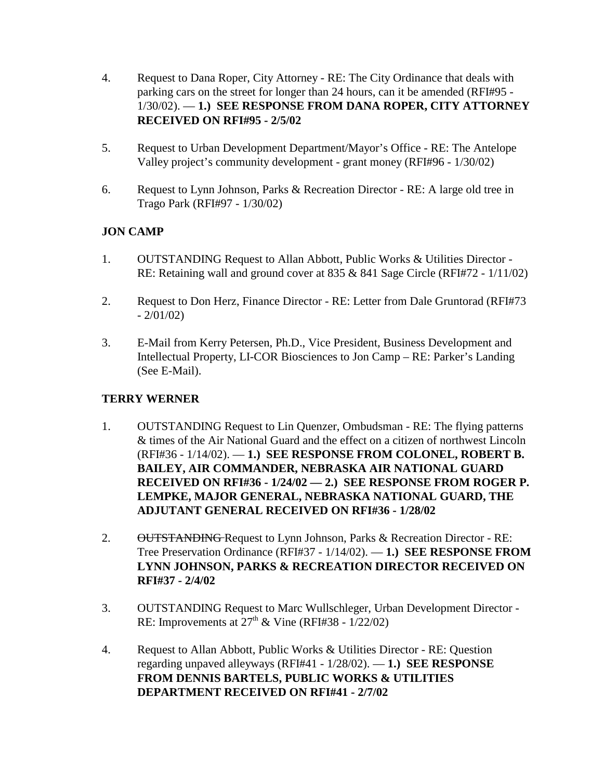- 4. Request to Dana Roper, City Attorney RE: The City Ordinance that deals with parking cars on the street for longer than 24 hours, can it be amended (RFI#95 - 1/30/02). — **1.) SEE RESPONSE FROM DANA ROPER, CITY ATTORNEY RECEIVED ON RFI#95 - 2/5/02**
- 5. Request to Urban Development Department/Mayor's Office RE: The Antelope Valley project's community development - grant money (RFI#96 - 1/30/02)
- 6. Request to Lynn Johnson, Parks & Recreation Director RE: A large old tree in Trago Park (RFI#97 - 1/30/02)

# **JON CAMP**

- 1. OUTSTANDING Request to Allan Abbott, Public Works & Utilities Director RE: Retaining wall and ground cover at 835 & 841 Sage Circle (RFI#72 - 1/11/02)
- 2. Request to Don Herz, Finance Director RE: Letter from Dale Gruntorad (RFI#73  $-2/01/02$
- 3. E-Mail from Kerry Petersen, Ph.D., Vice President, Business Development and Intellectual Property, LI-COR Biosciences to Jon Camp – RE: Parker's Landing (See E-Mail).

# **TERRY WERNER**

- 1. OUTSTANDING Request to Lin Quenzer, Ombudsman RE: The flying patterns & times of the Air National Guard and the effect on a citizen of northwest Lincoln (RFI#36 - 1/14/02). — **1.) SEE RESPONSE FROM COLONEL, ROBERT B. BAILEY, AIR COMMANDER, NEBRASKA AIR NATIONAL GUARD RECEIVED ON RFI#36 - 1/24/02 — 2.) SEE RESPONSE FROM ROGER P. LEMPKE, MAJOR GENERAL, NEBRASKA NATIONAL GUARD, THE ADJUTANT GENERAL RECEIVED ON RFI#36 - 1/28/02**
- 2. OUTSTANDING Request to Lynn Johnson, Parks & Recreation Director RE: Tree Preservation Ordinance (RFI#37 - 1/14/02). — **1.) SEE RESPONSE FROM LYNN JOHNSON, PARKS & RECREATION DIRECTOR RECEIVED ON RFI#37 - 2/4/02**
- 3. OUTSTANDING Request to Marc Wullschleger, Urban Development Director RE: Improvements at  $27<sup>th</sup>$  & Vine (RFI#38 - 1/22/02)
- 4. Request to Allan Abbott, Public Works & Utilities Director RE: Question regarding unpaved alleyways (RFI#41 - 1/28/02). — **1.) SEE RESPONSE FROM DENNIS BARTELS, PUBLIC WORKS & UTILITIES DEPARTMENT RECEIVED ON RFI#41 - 2/7/02**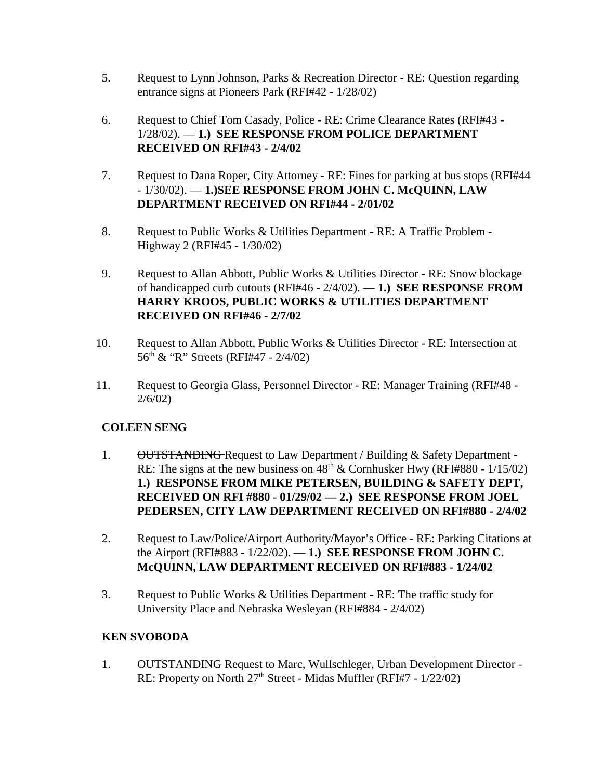- 5. Request to Lynn Johnson, Parks & Recreation Director RE: Question regarding entrance signs at Pioneers Park (RFI#42 - 1/28/02)
- 6. Request to Chief Tom Casady, Police RE: Crime Clearance Rates (RFI#43 1/28/02). — **1.) SEE RESPONSE FROM POLICE DEPARTMENT RECEIVED ON RFI#43 - 2/4/02**
- 7. Request to Dana Roper, City Attorney RE: Fines for parking at bus stops (RFI#44 - 1/30/02). — **1.)SEE RESPONSE FROM JOHN C. McQUINN, LAW DEPARTMENT RECEIVED ON RFI#44 - 2/01/02**
- 8. Request to Public Works & Utilities Department RE: A Traffic Problem Highway 2 (RFI#45 - 1/30/02)
- 9. Request to Allan Abbott, Public Works & Utilities Director RE: Snow blockage of handicapped curb cutouts (RFI#46 - 2/4/02). — **1.) SEE RESPONSE FROM HARRY KROOS, PUBLIC WORKS & UTILITIES DEPARTMENT RECEIVED ON RFI#46 - 2/7/02**
- 10. Request to Allan Abbott, Public Works & Utilities Director RE: Intersection at  $56<sup>th</sup>$  & "R" Streets (RFI#47 - 2/4/02)
- 11. Request to Georgia Glass, Personnel Director RE: Manager Training (RFI#48 2/6/02)

# **COLEEN SENG**

- 1. OUTSTANDING Request to Law Department / Building & Safety Department -RE: The signs at the new business on  $48<sup>th</sup>$  & Cornhusker Hwy (RFI#880 - 1/15/02) **1.) RESPONSE FROM MIKE PETERSEN, BUILDING & SAFETY DEPT, RECEIVED ON RFI #880** - **01/29/02 — 2.) SEE RESPONSE FROM JOEL PEDERSEN, CITY LAW DEPARTMENT RECEIVED ON RFI#880 - 2/4/02**
- 2. Request to Law/Police/Airport Authority/Mayor's Office RE: Parking Citations at the Airport (RFI#883 - 1/22/02). — **1.) SEE RESPONSE FROM JOHN C. McQUINN, LAW DEPARTMENT RECEIVED ON RFI#883 - 1/24/02**
- 3. Request to Public Works & Utilities Department RE: The traffic study for University Place and Nebraska Wesleyan (RFI#884 - 2/4/02)

# **KEN SVOBODA**

1. OUTSTANDING Request to Marc, Wullschleger, Urban Development Director - RE: Property on North 27<sup>th</sup> Street - Midas Muffler (RFI#7 - 1/22/02)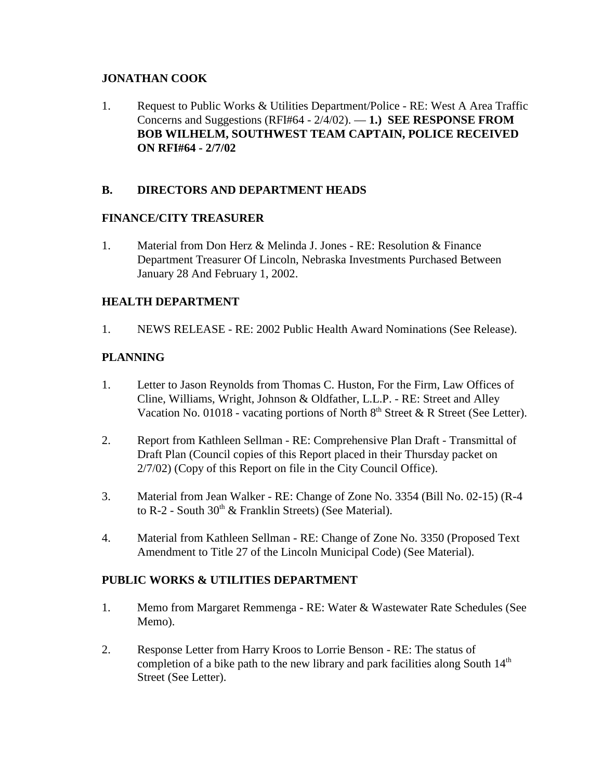# **JONATHAN COOK**

1. Request to Public Works & Utilities Department/Police - RE: West A Area Traffic Concerns and Suggestions (RFI#64 - 2/4/02). — **1.) SEE RESPONSE FROM BOB WILHELM, SOUTHWEST TEAM CAPTAIN, POLICE RECEIVED ON RFI#64 - 2/7/02** 

# **B. DIRECTORS AND DEPARTMENT HEADS**

# **FINANCE/CITY TREASURER**

1. Material from Don Herz & Melinda J. Jones - RE: Resolution & Finance Department Treasurer Of Lincoln, Nebraska Investments Purchased Between January 28 And February 1, 2002.

# **HEALTH DEPARTMENT**

1. NEWS RELEASE - RE: 2002 Public Health Award Nominations (See Release).

# **PLANNING**

- 1. Letter to Jason Reynolds from Thomas C. Huston, For the Firm, Law Offices of Cline, Williams, Wright, Johnson & Oldfather, L.L.P. - RE: Street and Alley Vacation No. 01018 - vacating portions of North  $8<sup>th</sup>$  Street  $\&$  R Street (See Letter).
- 2. Report from Kathleen Sellman RE: Comprehensive Plan Draft Transmittal of Draft Plan (Council copies of this Report placed in their Thursday packet on 2/7/02) (Copy of this Report on file in the City Council Office).
- 3. Material from Jean Walker RE: Change of Zone No. 3354 (Bill No. 02-15) (R-4 to R-2 - South  $30<sup>th</sup>$  & Franklin Streets) (See Material).
- 4. Material from Kathleen Sellman RE: Change of Zone No. 3350 (Proposed Text Amendment to Title 27 of the Lincoln Municipal Code) (See Material).

# **PUBLIC WORKS & UTILITIES DEPARTMENT**

- 1. Memo from Margaret Remmenga RE: Water & Wastewater Rate Schedules (See Memo).
- 2. Response Letter from Harry Kroos to Lorrie Benson RE: The status of completion of a bike path to the new library and park facilities along South  $14<sup>th</sup>$ Street (See Letter).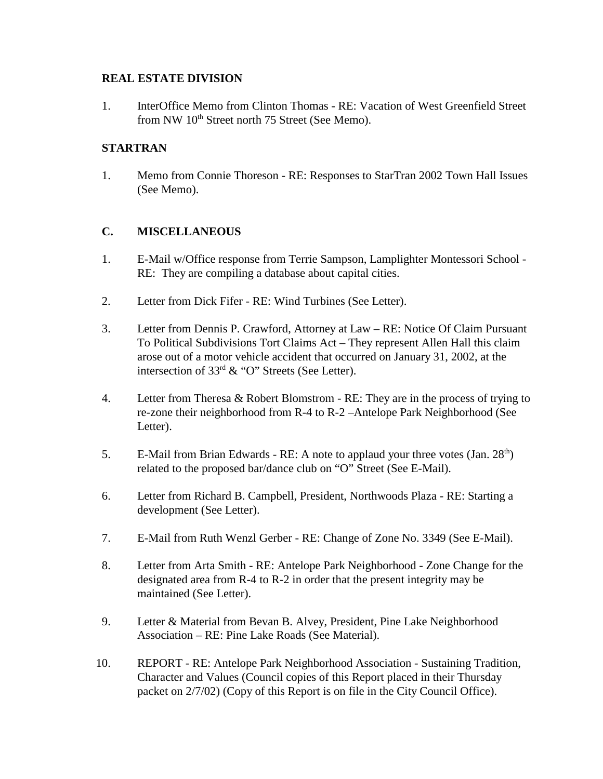# **REAL ESTATE DIVISION**

1. InterOffice Memo from Clinton Thomas - RE: Vacation of West Greenfield Street from NW 10<sup>th</sup> Street north 75 Street (See Memo).

# **STARTRAN**

1. Memo from Connie Thoreson - RE: Responses to StarTran 2002 Town Hall Issues (See Memo).

# **C. MISCELLANEOUS**

- 1. E-Mail w/Office response from Terrie Sampson, Lamplighter Montessori School RE: They are compiling a database about capital cities.
- 2. Letter from Dick Fifer RE: Wind Turbines (See Letter).
- 3. Letter from Dennis P. Crawford, Attorney at Law RE: Notice Of Claim Pursuant To Political Subdivisions Tort Claims Act – They represent Allen Hall this claim arose out of a motor vehicle accident that occurred on January 31, 2002, at the intersection of  $33<sup>rd</sup>$  & "O" Streets (See Letter).
- 4. Letter from Theresa & Robert Blomstrom RE: They are in the process of trying to re-zone their neighborhood from R-4 to R-2 –Antelope Park Neighborhood (See Letter).
- 5. E-Mail from Brian Edwards RE: A note to applaud your three votes  $(Jan. 28<sup>th</sup>)$ related to the proposed bar/dance club on "O" Street (See E-Mail).
- 6. Letter from Richard B. Campbell, President, Northwoods Plaza RE: Starting a development (See Letter).
- 7. E-Mail from Ruth Wenzl Gerber RE: Change of Zone No. 3349 (See E-Mail).
- 8. Letter from Arta Smith RE: Antelope Park Neighborhood Zone Change for the designated area from R-4 to R-2 in order that the present integrity may be maintained (See Letter).
- 9. Letter & Material from Bevan B. Alvey, President, Pine Lake Neighborhood Association – RE: Pine Lake Roads (See Material).
- 10. REPORT RE: Antelope Park Neighborhood Association Sustaining Tradition, Character and Values (Council copies of this Report placed in their Thursday packet on 2/7/02) (Copy of this Report is on file in the City Council Office).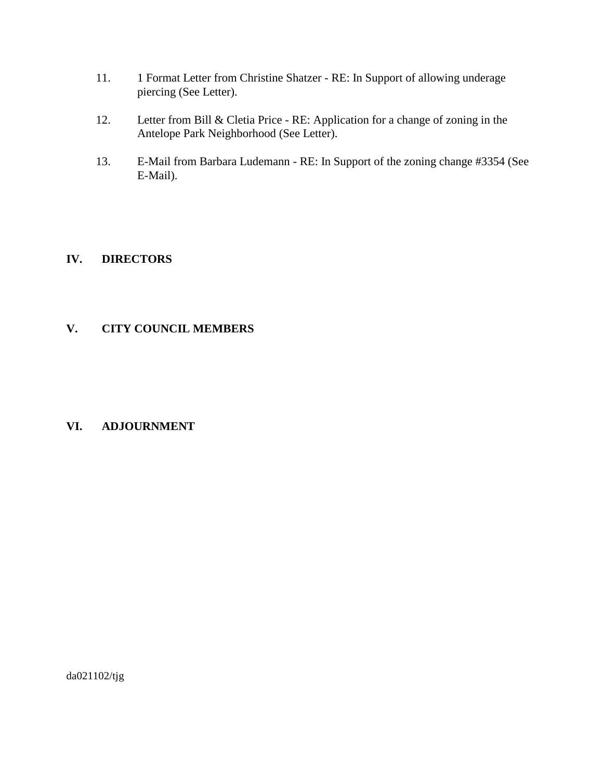- 11. 1 Format Letter from Christine Shatzer RE: In Support of allowing underage piercing (See Letter).
- 12. Letter from Bill & Cletia Price RE: Application for a change of zoning in the Antelope Park Neighborhood (See Letter).
- 13. E-Mail from Barbara Ludemann RE: In Support of the zoning change #3354 (See E-Mail).

# **IV. DIRECTORS**

# **V. CITY COUNCIL MEMBERS**

# **VI. ADJOURNMENT**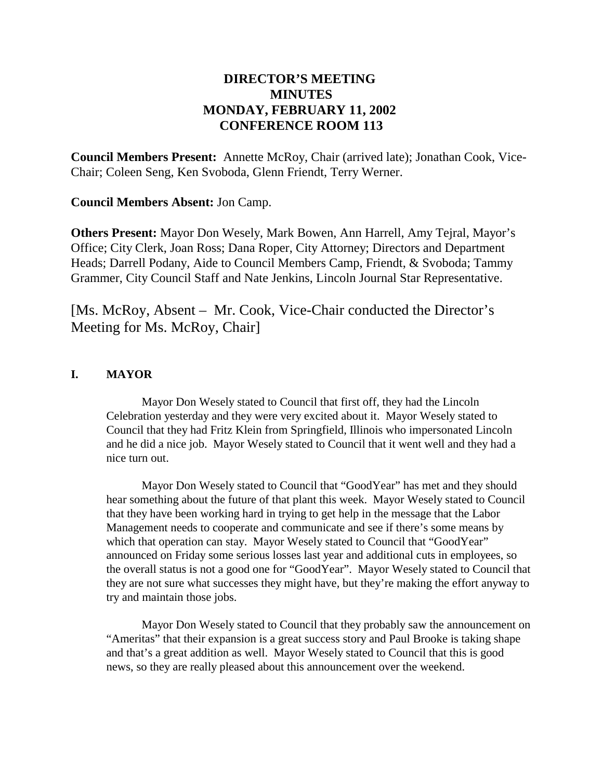# **DIRECTOR'S MEETING MINUTES MONDAY, FEBRUARY 11, 2002 CONFERENCE ROOM 113**

**Council Members Present:** Annette McRoy, Chair (arrived late); Jonathan Cook, Vice-Chair; Coleen Seng, Ken Svoboda, Glenn Friendt, Terry Werner.

**Council Members Absent:** Jon Camp.

**Others Present:** Mayor Don Wesely, Mark Bowen, Ann Harrell, Amy Tejral, Mayor's Office; City Clerk, Joan Ross; Dana Roper, City Attorney; Directors and Department Heads; Darrell Podany, Aide to Council Members Camp, Friendt, & Svoboda; Tammy Grammer, City Council Staff and Nate Jenkins, Lincoln Journal Star Representative.

[Ms. McRoy, Absent – Mr. Cook, Vice-Chair conducted the Director's Meeting for Ms. McRoy, Chair]

# **I. MAYOR**

Mayor Don Wesely stated to Council that first off, they had the Lincoln Celebration yesterday and they were very excited about it. Mayor Wesely stated to Council that they had Fritz Klein from Springfield, Illinois who impersonated Lincoln and he did a nice job. Mayor Wesely stated to Council that it went well and they had a nice turn out.

Mayor Don Wesely stated to Council that "GoodYear" has met and they should hear something about the future of that plant this week. Mayor Wesely stated to Council that they have been working hard in trying to get help in the message that the Labor Management needs to cooperate and communicate and see if there's some means by which that operation can stay. Mayor Wesely stated to Council that "GoodYear" announced on Friday some serious losses last year and additional cuts in employees, so the overall status is not a good one for "GoodYear". Mayor Wesely stated to Council that they are not sure what successes they might have, but they're making the effort anyway to try and maintain those jobs.

Mayor Don Wesely stated to Council that they probably saw the announcement on "Ameritas" that their expansion is a great success story and Paul Brooke is taking shape and that's a great addition as well. Mayor Wesely stated to Council that this is good news, so they are really pleased about this announcement over the weekend.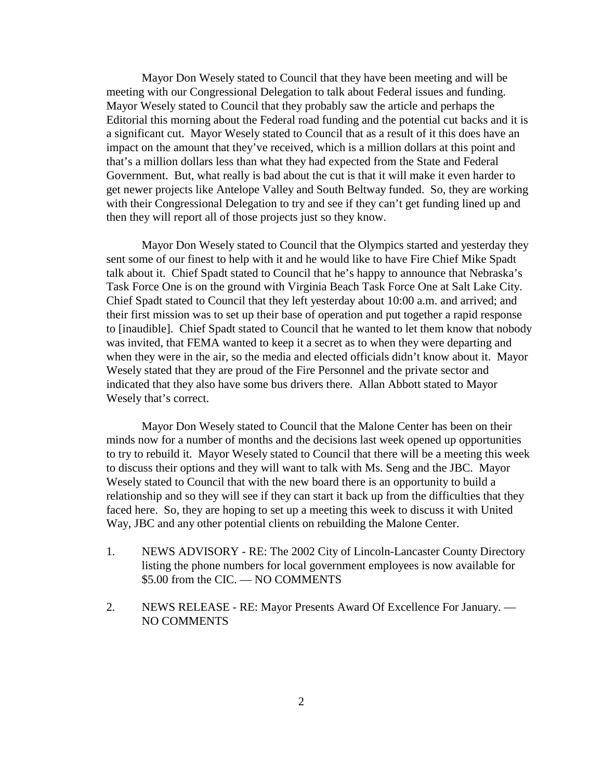Mayor Don Wesely stated to Council that they have been meeting and will be meeting with our Congressional Delegation to talk about Federal issues and funding. Mayor Wesely stated to Council that they probably saw the article and perhaps the Editorial this morning about the Federal road funding and the potential cut backs and it is a significant cut. Mayor Wesely stated to Council that as a result of it this does have an impact on the amount that they've received, which is a million dollars at this point and that's a million dollars less than what they had expected from the State and Federal Government. But, what really is bad about the cut is that it will make it even harder to get newer projects like Antelope Valley and South Beltway funded. So, they are working with their Congressional Delegation to try and see if they can't get funding lined up and then they will report all of those projects just so they know.

Mayor Don Wesely stated to Council that the Olympics started and yesterday they sent some of our finest to help with it and he would like to have Fire Chief Mike Spadt talk about it. Chief Spadt stated to Council that he's happy to announce that Nebraska's Task Force One is on the ground with Virginia Beach Task Force One at Salt Lake City. Chief Spadt stated to Council that they left yesterday about 10:00 a.m. and arrived; and their first mission was to set up their base of operation and put together a rapid response to [inaudible]. Chief Spadt stated to Council that he wanted to let them know that nobody was invited, that FEMA wanted to keep it a secret as to when they were departing and when they were in the air, so the media and elected officials didn't know about it. Mayor Wesely stated that they are proud of the Fire Personnel and the private sector and indicated that they also have some bus drivers there. Allan Abbott stated to Mayor Wesely that's correct.

Mayor Don Wesely stated to Council that the Malone Center has been on their minds now for a number of months and the decisions last week opened up opportunities to try to rebuild it. Mayor Wesely stated to Council that there will be a meeting this week to discuss their options and they will want to talk with Ms. Seng and the JBC. Mayor Wesely stated to Council that with the new board there is an opportunity to build a relationship and so they will see if they can start it back up from the difficulties that they faced here. So, they are hoping to set up a meeting this week to discuss it with United Way, JBC and any other potential clients on rebuilding the Malone Center.

- 1. NEWS ADVISORY RE: The 2002 City of Lincoln-Lancaster County Directory listing the phone numbers for local government employees is now available for \$5.00 from the CIC. — NO COMMENTS
- 2. NEWS RELEASE RE: Mayor Presents Award Of Excellence For January. NO COMMENTS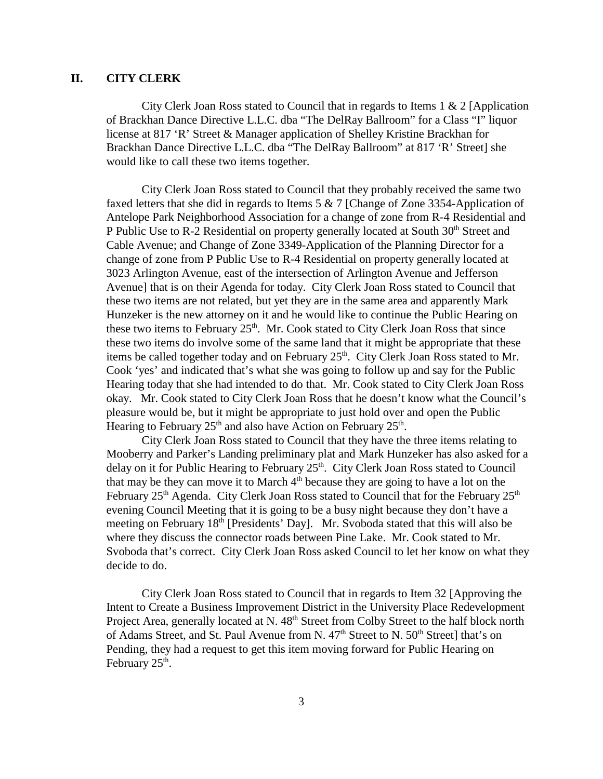## **II. CITY CLERK**

City Clerk Joan Ross stated to Council that in regards to Items 1 & 2 [Application of Brackhan Dance Directive L.L.C. dba "The DelRay Ballroom" for a Class "I" liquor license at 817 'R' Street & Manager application of Shelley Kristine Brackhan for Brackhan Dance Directive L.L.C. dba "The DelRay Ballroom" at 817 'R' Street] she would like to call these two items together.

City Clerk Joan Ross stated to Council that they probably received the same two faxed letters that she did in regards to Items 5 & 7 [Change of Zone 3354-Application of Antelope Park Neighborhood Association for a change of zone from R-4 Residential and P Public Use to R-2 Residential on property generally located at South  $30<sup>th</sup>$  Street and Cable Avenue; and Change of Zone 3349-Application of the Planning Director for a change of zone from P Public Use to R-4 Residential on property generally located at 3023 Arlington Avenue, east of the intersection of Arlington Avenue and Jefferson Avenue] that is on their Agenda for today. City Clerk Joan Ross stated to Council that these two items are not related, but yet they are in the same area and apparently Mark Hunzeker is the new attorney on it and he would like to continue the Public Hearing on these two items to February  $25<sup>th</sup>$ . Mr. Cook stated to City Clerk Joan Ross that since these two items do involve some of the same land that it might be appropriate that these items be called together today and on February  $25<sup>th</sup>$ . City Clerk Joan Ross stated to Mr. Cook 'yes' and indicated that's what she was going to follow up and say for the Public Hearing today that she had intended to do that. Mr. Cook stated to City Clerk Joan Ross okay. Mr. Cook stated to City Clerk Joan Ross that he doesn't know what the Council's pleasure would be, but it might be appropriate to just hold over and open the Public Hearing to February  $25<sup>th</sup>$  and also have Action on February  $25<sup>th</sup>$ .

City Clerk Joan Ross stated to Council that they have the three items relating to Mooberry and Parker's Landing preliminary plat and Mark Hunzeker has also asked for a delay on it for Public Hearing to February 25<sup>th</sup>. City Clerk Joan Ross stated to Council that may be they can move it to March  $4<sup>th</sup>$  because they are going to have a lot on the February  $25<sup>th</sup>$  Agenda. City Clerk Joan Ross stated to Council that for the February  $25<sup>th</sup>$ evening Council Meeting that it is going to be a busy night because they don't have a meeting on February 18<sup>th</sup> [Presidents' Day]. Mr. Svoboda stated that this will also be where they discuss the connector roads between Pine Lake. Mr. Cook stated to Mr. Svoboda that's correct. City Clerk Joan Ross asked Council to let her know on what they decide to do.

City Clerk Joan Ross stated to Council that in regards to Item 32 [Approving the Intent to Create a Business Improvement District in the University Place Redevelopment Project Area, generally located at N. 48<sup>th</sup> Street from Colby Street to the half block north of Adams Street, and St. Paul Avenue from N. 47<sup>th</sup> Street to N. 50<sup>th</sup> Street] that's on Pending, they had a request to get this item moving forward for Public Hearing on February  $25<sup>th</sup>$ .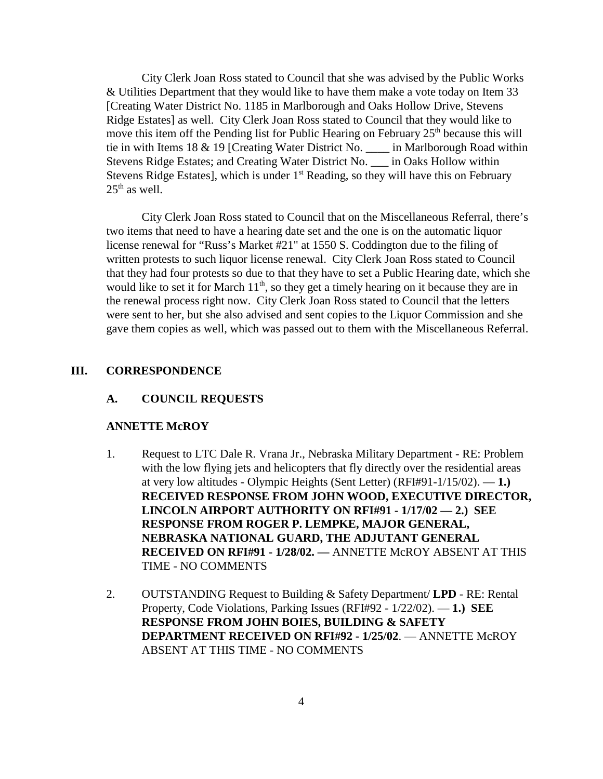City Clerk Joan Ross stated to Council that she was advised by the Public Works & Utilities Department that they would like to have them make a vote today on Item 33 [Creating Water District No. 1185 in Marlborough and Oaks Hollow Drive, Stevens Ridge Estates] as well. City Clerk Joan Ross stated to Council that they would like to move this item off the Pending list for Public Hearing on February 25<sup>th</sup> because this will tie in with Items 18 & 19 [Creating Water District No. \_\_\_\_ in Marlborough Road within Stevens Ridge Estates; and Creating Water District No. \_\_\_ in Oaks Hollow within Stevens Ridge Estates], which is under  $1<sup>st</sup>$  Reading, so they will have this on February  $25<sup>th</sup>$  as well.

City Clerk Joan Ross stated to Council that on the Miscellaneous Referral, there's two items that need to have a hearing date set and the one is on the automatic liquor license renewal for "Russ's Market #21" at 1550 S. Coddington due to the filing of written protests to such liquor license renewal. City Clerk Joan Ross stated to Council that they had four protests so due to that they have to set a Public Hearing date, which she would like to set it for March  $11<sup>th</sup>$ , so they get a timely hearing on it because they are in the renewal process right now. City Clerk Joan Ross stated to Council that the letters were sent to her, but she also advised and sent copies to the Liquor Commission and she gave them copies as well, which was passed out to them with the Miscellaneous Referral.

#### **III. CORRESPONDENCE**

#### **A. COUNCIL REQUESTS**

#### **ANNETTE McROY**

- 1. Request to LTC Dale R. Vrana Jr., Nebraska Military Department RE: Problem with the low flying jets and helicopters that fly directly over the residential areas at very low altitudes - Olympic Heights (Sent Letter) (RFI#91-1/15/02). — **1.) RECEIVED RESPONSE FROM JOHN WOOD, EXECUTIVE DIRECTOR, LINCOLN AIRPORT AUTHORITY ON RFI#91 - 1/17/02 — 2.) SEE RESPONSE FROM ROGER P. LEMPKE, MAJOR GENERAL, NEBRASKA NATIONAL GUARD, THE ADJUTANT GENERAL RECEIVED ON RFI#91 - 1/28/02. —** ANNETTE McROY ABSENT AT THIS TIME - NO COMMENTS
- 2. OUTSTANDING Request to Building & Safety Department/ **LPD** RE: Rental Property, Code Violations, Parking Issues (RFI#92 - 1/22/02). — **1.) SEE RESPONSE FROM JOHN BOIES, BUILDING & SAFETY DEPARTMENT RECEIVED ON RFI#92 - 1/25/02**. — ANNETTE McROY ABSENT AT THIS TIME - NO COMMENTS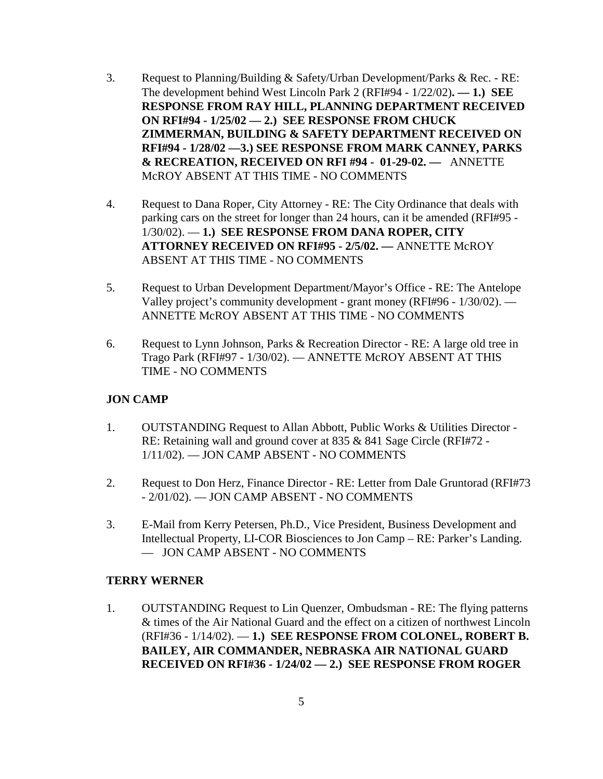- 3. Request to Planning/Building & Safety/Urban Development/Parks & Rec. RE: The development behind West Lincoln Park 2 (RFI#94 - 1/22/02)**. — 1.) SEE RESPONSE FROM RAY HILL, PLANNING DEPARTMENT RECEIVED ON RFI#94 - 1/25/02 — 2.) SEE RESPONSE FROM CHUCK ZIMMERMAN, BUILDING & SAFETY DEPARTMENT RECEIVED ON RFI#94 - 1/28/02 —3.) SEE RESPONSE FROM MARK CANNEY, PARKS & RECREATION, RECEIVED ON RFI #94 - 01-29-02. —** ANNETTE McROY ABSENT AT THIS TIME - NO COMMENTS
- 4. Request to Dana Roper, City Attorney RE: The City Ordinance that deals with parking cars on the street for longer than 24 hours, can it be amended (RFI#95 - 1/30/02). — **1.) SEE RESPONSE FROM DANA ROPER, CITY ATTORNEY RECEIVED ON RFI#95 - 2/5/02. —** ANNETTE McROY ABSENT AT THIS TIME - NO COMMENTS
- 5. Request to Urban Development Department/Mayor's Office RE: The Antelope Valley project's community development - grant money (RFI#96 - 1/30/02). — ANNETTE McROY ABSENT AT THIS TIME - NO COMMENTS
- 6. Request to Lynn Johnson, Parks & Recreation Director RE: A large old tree in Trago Park (RFI#97 - 1/30/02). — ANNETTE McROY ABSENT AT THIS TIME - NO COMMENTS

## **JON CAMP**

- 1. OUTSTANDING Request to Allan Abbott, Public Works & Utilities Director RE: Retaining wall and ground cover at 835 & 841 Sage Circle (RFI#72 - 1/11/02). — JON CAMP ABSENT - NO COMMENTS
- 2. Request to Don Herz, Finance Director RE: Letter from Dale Gruntorad (RFI#73 - 2/01/02). — JON CAMP ABSENT - NO COMMENTS
- 3. E-Mail from Kerry Petersen, Ph.D., Vice President, Business Development and Intellectual Property, LI-COR Biosciences to Jon Camp – RE: Parker's Landing. — JON CAMP ABSENT - NO COMMENTS

## **TERRY WERNER**

1. OUTSTANDING Request to Lin Quenzer, Ombudsman - RE: The flying patterns & times of the Air National Guard and the effect on a citizen of northwest Lincoln (RFI#36 - 1/14/02). — **1.) SEE RESPONSE FROM COLONEL, ROBERT B. BAILEY, AIR COMMANDER, NEBRASKA AIR NATIONAL GUARD RECEIVED ON RFI#36 - 1/24/02 — 2.) SEE RESPONSE FROM ROGER**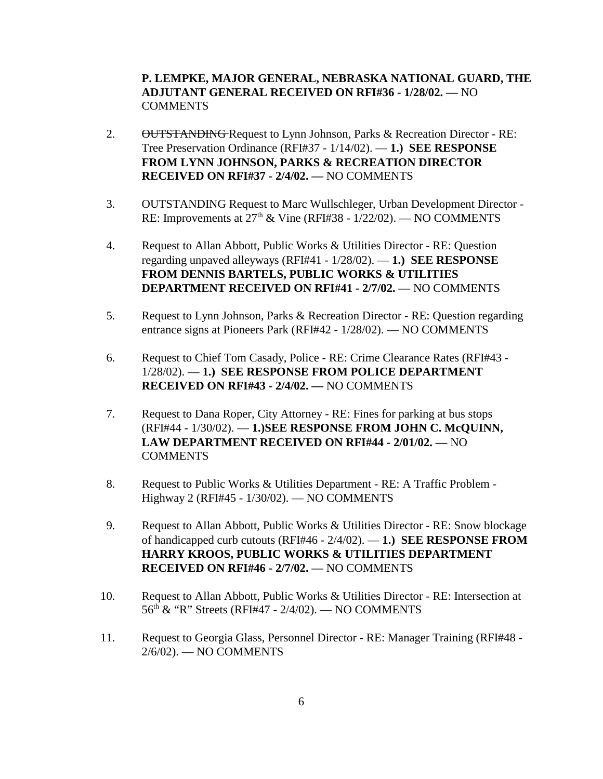**P. LEMPKE, MAJOR GENERAL, NEBRASKA NATIONAL GUARD, THE ADJUTANT GENERAL RECEIVED ON RFI#36 - 1/28/02. —** NO **COMMENTS** 

- 2. OUTSTANDING Request to Lynn Johnson, Parks & Recreation Director RE: Tree Preservation Ordinance (RFI#37 - 1/14/02). — **1.) SEE RESPONSE FROM LYNN JOHNSON, PARKS & RECREATION DIRECTOR RECEIVED ON RFI#37 - 2/4/02. —** NO COMMENTS
- 3. OUTSTANDING Request to Marc Wullschleger, Urban Development Director RE: Improvements at  $27<sup>th</sup>$  & Vine (RFI#38 - 1/22/02). — NO COMMENTS
- 4. Request to Allan Abbott, Public Works & Utilities Director RE: Question regarding unpaved alleyways (RFI#41 - 1/28/02). — **1.) SEE RESPONSE FROM DENNIS BARTELS, PUBLIC WORKS & UTILITIES DEPARTMENT RECEIVED ON RFI#41 - 2/7/02. —** NO COMMENTS
- 5. Request to Lynn Johnson, Parks & Recreation Director RE: Question regarding entrance signs at Pioneers Park (RFI#42 - 1/28/02). — NO COMMENTS
- 6. Request to Chief Tom Casady, Police RE: Crime Clearance Rates (RFI#43 1/28/02). — **1.) SEE RESPONSE FROM POLICE DEPARTMENT RECEIVED ON RFI#43 - 2/4/02. —** NO COMMENTS
- 7. Request to Dana Roper, City Attorney RE: Fines for parking at bus stops (RFI#44 - 1/30/02). — **1.)SEE RESPONSE FROM JOHN C. McQUINN, LAW DEPARTMENT RECEIVED ON RFI#44 - 2/01/02. —** NO **COMMENTS**
- 8. Request to Public Works & Utilities Department RE: A Traffic Problem Highway 2 (RFI#45 - 1/30/02). — NO COMMENTS
- 9. Request to Allan Abbott, Public Works & Utilities Director RE: Snow blockage of handicapped curb cutouts (RFI#46 - 2/4/02). — **1.) SEE RESPONSE FROM HARRY KROOS, PUBLIC WORKS & UTILITIES DEPARTMENT RECEIVED ON RFI#46 - 2/7/02. —** NO COMMENTS
- 10. Request to Allan Abbott, Public Works & Utilities Director RE: Intersection at 56th & "R" Streets (RFI#47 - 2/4/02). — NO COMMENTS
- 11. Request to Georgia Glass, Personnel Director RE: Manager Training (RFI#48 2/6/02). — NO COMMENTS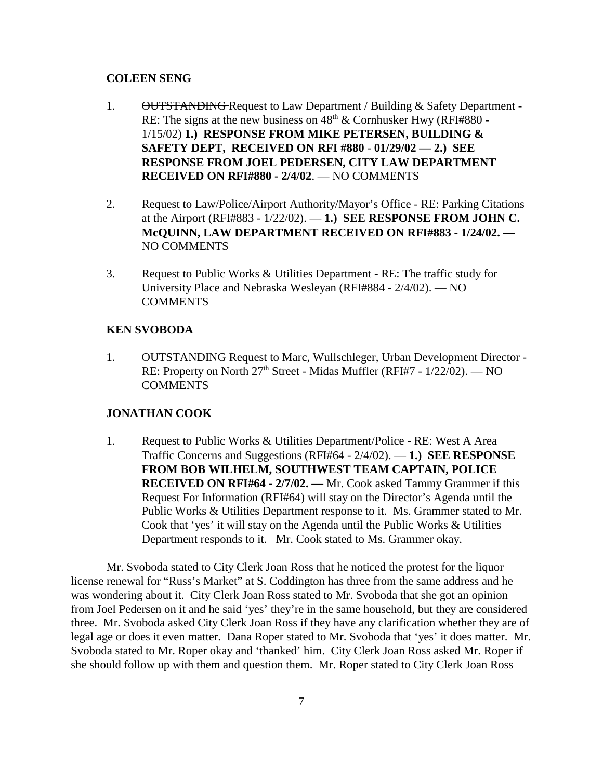#### **COLEEN SENG**

- 1. OUTSTANDING Request to Law Department / Building & Safety Department -RE: The signs at the new business on  $48<sup>th</sup>$  & Cornhusker Hwy (RFI#880 -1/15/02) **1.) RESPONSE FROM MIKE PETERSEN, BUILDING & SAFETY DEPT, RECEIVED ON RFI #880** - **01/29/02 — 2.) SEE RESPONSE FROM JOEL PEDERSEN, CITY LAW DEPARTMENT RECEIVED ON RFI#880 - 2/4/02**. — NO COMMENTS
- 2. Request to Law/Police/Airport Authority/Mayor's Office RE: Parking Citations at the Airport (RFI#883 - 1/22/02). — **1.) SEE RESPONSE FROM JOHN C. McQUINN, LAW DEPARTMENT RECEIVED ON RFI#883 - 1/24/02. —**  NO COMMENTS
- 3. Request to Public Works & Utilities Department RE: The traffic study for University Place and Nebraska Wesleyan (RFI#884 - 2/4/02). — NO COMMENTS

#### **KEN SVOBODA**

1. OUTSTANDING Request to Marc, Wullschleger, Urban Development Director - RE: Property on North 27<sup>th</sup> Street - Midas Muffler (RFI#7 - 1/22/02). — NO **COMMENTS** 

#### **JONATHAN COOK**

1. Request to Public Works & Utilities Department/Police - RE: West A Area Traffic Concerns and Suggestions (RFI#64 - 2/4/02). — **1.) SEE RESPONSE FROM BOB WILHELM, SOUTHWEST TEAM CAPTAIN, POLICE RECEIVED ON RFI#64 - 2/7/02. —** Mr. Cook asked Tammy Grammer if this Request For Information (RFI#64) will stay on the Director's Agenda until the Public Works & Utilities Department response to it. Ms. Grammer stated to Mr. Cook that 'yes' it will stay on the Agenda until the Public Works & Utilities Department responds to it. Mr. Cook stated to Ms. Grammer okay.

Mr. Svoboda stated to City Clerk Joan Ross that he noticed the protest for the liquor license renewal for "Russ's Market" at S. Coddington has three from the same address and he was wondering about it. City Clerk Joan Ross stated to Mr. Svoboda that she got an opinion from Joel Pedersen on it and he said 'yes' they're in the same household, but they are considered three. Mr. Svoboda asked City Clerk Joan Ross if they have any clarification whether they are of legal age or does it even matter. Dana Roper stated to Mr. Svoboda that 'yes' it does matter. Mr. Svoboda stated to Mr. Roper okay and 'thanked' him. City Clerk Joan Ross asked Mr. Roper if she should follow up with them and question them. Mr. Roper stated to City Clerk Joan Ross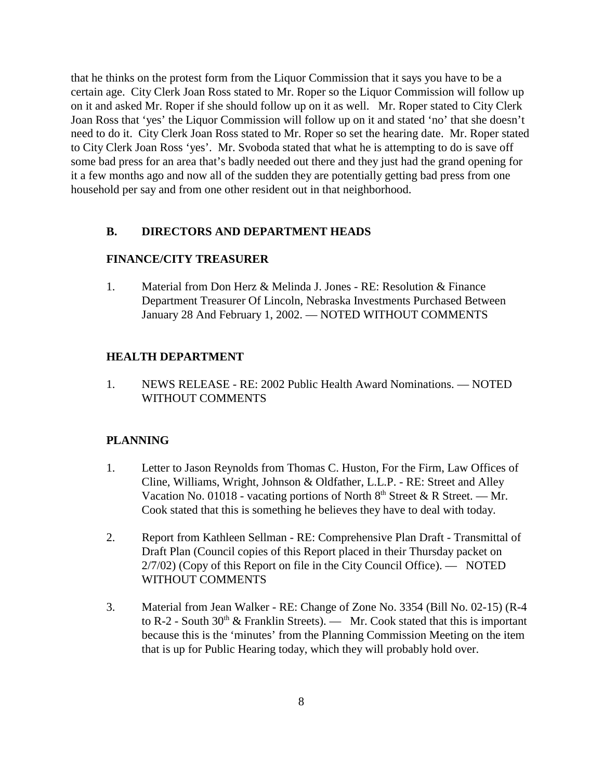that he thinks on the protest form from the Liquor Commission that it says you have to be a certain age. City Clerk Joan Ross stated to Mr. Roper so the Liquor Commission will follow up on it and asked Mr. Roper if she should follow up on it as well. Mr. Roper stated to City Clerk Joan Ross that 'yes' the Liquor Commission will follow up on it and stated 'no' that she doesn't need to do it. City Clerk Joan Ross stated to Mr. Roper so set the hearing date. Mr. Roper stated to City Clerk Joan Ross 'yes'. Mr. Svoboda stated that what he is attempting to do is save off some bad press for an area that's badly needed out there and they just had the grand opening for it a few months ago and now all of the sudden they are potentially getting bad press from one household per say and from one other resident out in that neighborhood.

#### **B. DIRECTORS AND DEPARTMENT HEADS**

## **FINANCE/CITY TREASURER**

1. Material from Don Herz & Melinda J. Jones - RE: Resolution & Finance Department Treasurer Of Lincoln, Nebraska Investments Purchased Between January 28 And February 1, 2002. — NOTED WITHOUT COMMENTS

## **HEALTH DEPARTMENT**

1. NEWS RELEASE - RE: 2002 Public Health Award Nominations. — NOTED WITHOUT COMMENTS

## **PLANNING**

- 1. Letter to Jason Reynolds from Thomas C. Huston, For the Firm, Law Offices of Cline, Williams, Wright, Johnson & Oldfather, L.L.P. - RE: Street and Alley Vacation No. 01018 - vacating portions of North  $8<sup>th</sup>$  Street & R Street. — Mr. Cook stated that this is something he believes they have to deal with today.
- 2. Report from Kathleen Sellman RE: Comprehensive Plan Draft Transmittal of Draft Plan (Council copies of this Report placed in their Thursday packet on 2/7/02) (Copy of this Report on file in the City Council Office). — NOTED WITHOUT COMMENTS
- 3. Material from Jean Walker RE: Change of Zone No. 3354 (Bill No. 02-15) (R-4 to R-2 - South  $30<sup>th</sup>$  & Franklin Streets). — Mr. Cook stated that this is important because this is the 'minutes' from the Planning Commission Meeting on the item that is up for Public Hearing today, which they will probably hold over.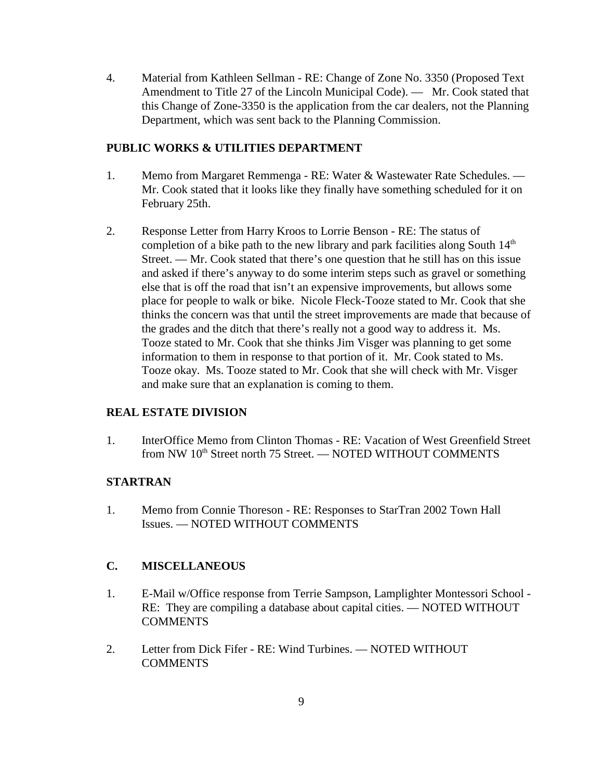4. Material from Kathleen Sellman - RE: Change of Zone No. 3350 (Proposed Text Amendment to Title 27 of the Lincoln Municipal Code). — Mr. Cook stated that this Change of Zone-3350 is the application from the car dealers, not the Planning Department, which was sent back to the Planning Commission.

# **PUBLIC WORKS & UTILITIES DEPARTMENT**

- 1. Memo from Margaret Remmenga RE: Water & Wastewater Rate Schedules. Mr. Cook stated that it looks like they finally have something scheduled for it on February 25th.
- 2. Response Letter from Harry Kroos to Lorrie Benson RE: The status of completion of a bike path to the new library and park facilities along South  $14<sup>th</sup>$ Street. — Mr. Cook stated that there's one question that he still has on this issue and asked if there's anyway to do some interim steps such as gravel or something else that is off the road that isn't an expensive improvements, but allows some place for people to walk or bike. Nicole Fleck-Tooze stated to Mr. Cook that she thinks the concern was that until the street improvements are made that because of the grades and the ditch that there's really not a good way to address it. Ms. Tooze stated to Mr. Cook that she thinks Jim Visger was planning to get some information to them in response to that portion of it. Mr. Cook stated to Ms. Tooze okay. Ms. Tooze stated to Mr. Cook that she will check with Mr. Visger and make sure that an explanation is coming to them.

# **REAL ESTATE DIVISION**

1. InterOffice Memo from Clinton Thomas - RE: Vacation of West Greenfield Street from NW 10<sup>th</sup> Street north 75 Street. — NOTED WITHOUT COMMENTS

## **STARTRAN**

1. Memo from Connie Thoreson - RE: Responses to StarTran 2002 Town Hall Issues. — NOTED WITHOUT COMMENTS

# **C. MISCELLANEOUS**

- 1. E-Mail w/Office response from Terrie Sampson, Lamplighter Montessori School RE: They are compiling a database about capital cities. — NOTED WITHOUT COMMENTS
- 2. Letter from Dick Fifer RE: Wind Turbines. NOTED WITHOUT **COMMENTS**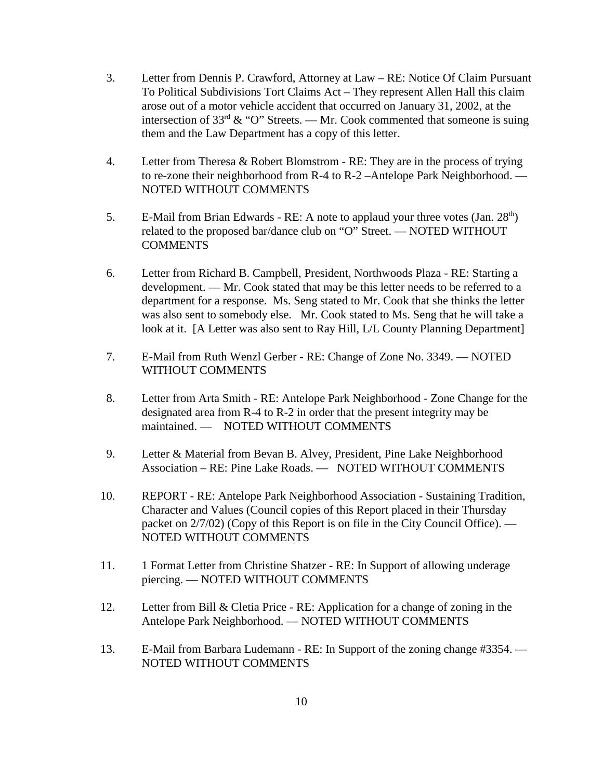- 3. Letter from Dennis P. Crawford, Attorney at Law RE: Notice Of Claim Pursuant To Political Subdivisions Tort Claims Act – They represent Allen Hall this claim arose out of a motor vehicle accident that occurred on January 31, 2002, at the intersection of 33<sup>rd</sup> & "O" Streets. — Mr. Cook commented that someone is suing them and the Law Department has a copy of this letter.
- 4. Letter from Theresa & Robert Blomstrom RE: They are in the process of trying to re-zone their neighborhood from R-4 to R-2 –Antelope Park Neighborhood. — NOTED WITHOUT COMMENTS
- 5. E-Mail from Brian Edwards RE: A note to applaud your three votes  $(Jan. 28<sup>th</sup>)$ related to the proposed bar/dance club on "O" Street. — NOTED WITHOUT **COMMENTS**
- 6. Letter from Richard B. Campbell, President, Northwoods Plaza RE: Starting a development. — Mr. Cook stated that may be this letter needs to be referred to a department for a response. Ms. Seng stated to Mr. Cook that she thinks the letter was also sent to somebody else. Mr. Cook stated to Ms. Seng that he will take a look at it. [A Letter was also sent to Ray Hill, L/L County Planning Department]
- 7. E-Mail from Ruth Wenzl Gerber RE: Change of Zone No. 3349. NOTED WITHOUT COMMENTS
- 8. Letter from Arta Smith RE: Antelope Park Neighborhood Zone Change for the designated area from R-4 to R-2 in order that the present integrity may be maintained. — NOTED WITHOUT COMMENTS
- 9. Letter & Material from Bevan B. Alvey, President, Pine Lake Neighborhood Association – RE: Pine Lake Roads. — NOTED WITHOUT COMMENTS
- 10. REPORT RE: Antelope Park Neighborhood Association Sustaining Tradition, Character and Values (Council copies of this Report placed in their Thursday packet on 2/7/02) (Copy of this Report is on file in the City Council Office). — NOTED WITHOUT COMMENTS
- 11. 1 Format Letter from Christine Shatzer RE: In Support of allowing underage piercing. — NOTED WITHOUT COMMENTS
- 12. Letter from Bill & Cletia Price RE: Application for a change of zoning in the Antelope Park Neighborhood. — NOTED WITHOUT COMMENTS
- 13. E-Mail from Barbara Ludemann RE: In Support of the zoning change #3354. NOTED WITHOUT COMMENTS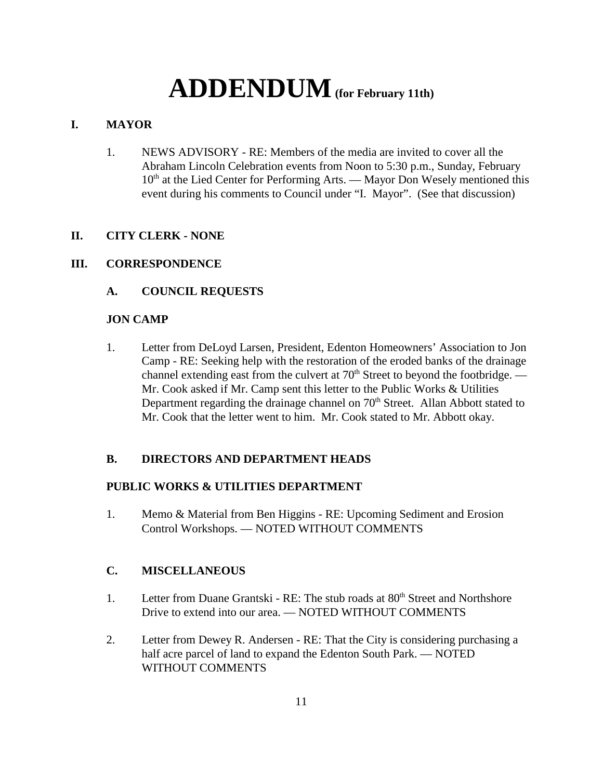# **ADDENDUM(for February 11th)**

# **I. MAYOR**

1. NEWS ADVISORY - RE: Members of the media are invited to cover all the Abraham Lincoln Celebration events from Noon to 5:30 p.m., Sunday, February  $10<sup>th</sup>$  at the Lied Center for Performing Arts. — Mayor Don Wesely mentioned this event during his comments to Council under "I. Mayor". (See that discussion)

# **II. CITY CLERK - NONE**

# **III. CORRESPONDENCE**

# **A. COUNCIL REQUESTS**

# **JON CAMP**

1. Letter from DeLoyd Larsen, President, Edenton Homeowners' Association to Jon Camp - RE: Seeking help with the restoration of the eroded banks of the drainage channel extending east from the culvert at  $70<sup>th</sup>$  Street to beyond the footbridge. — Mr. Cook asked if Mr. Camp sent this letter to the Public Works & Utilities Department regarding the drainage channel on  $70<sup>th</sup>$  Street. Allan Abbott stated to Mr. Cook that the letter went to him. Mr. Cook stated to Mr. Abbott okay.

# **B. DIRECTORS AND DEPARTMENT HEADS**

# **PUBLIC WORKS & UTILITIES DEPARTMENT**

1. Memo & Material from Ben Higgins - RE: Upcoming Sediment and Erosion Control Workshops. — NOTED WITHOUT COMMENTS

# **C. MISCELLANEOUS**

- 1. Letter from Duane Grantski RE: The stub roads at 80<sup>th</sup> Street and Northshore Drive to extend into our area. — NOTED WITHOUT COMMENTS
- 2. Letter from Dewey R. Andersen RE: That the City is considering purchasing a half acre parcel of land to expand the Edenton South Park. — NOTED WITHOUT COMMENTS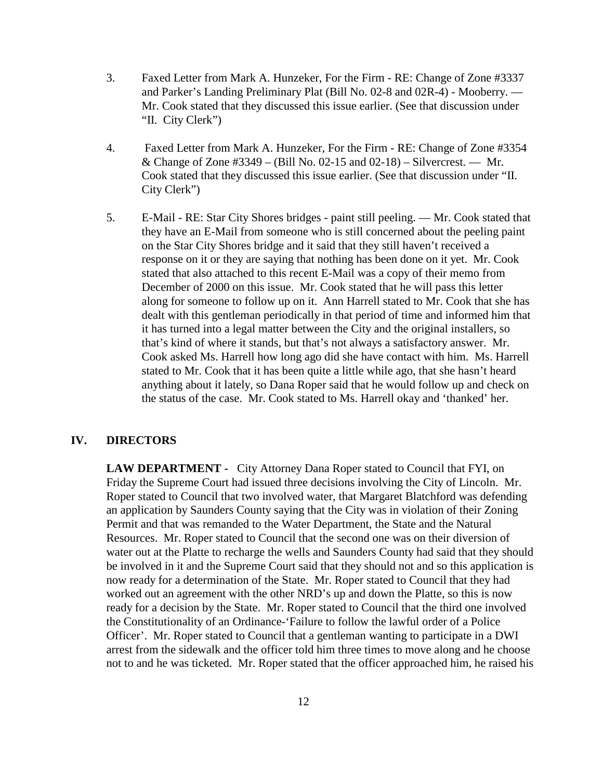- 3. Faxed Letter from Mark A. Hunzeker, For the Firm RE: Change of Zone #3337 and Parker's Landing Preliminary Plat (Bill No. 02-8 and 02R-4) - Mooberry. — Mr. Cook stated that they discussed this issue earlier. (See that discussion under "II. City Clerk")
- 4. Faxed Letter from Mark A. Hunzeker, For the Firm RE: Change of Zone #3354 & Change of Zone  $\#3349 - (Bill No. 02-15 and 02-18) - Silvererest.$  Mr. Cook stated that they discussed this issue earlier. (See that discussion under "II. City Clerk")
- 5. E-Mail RE: Star City Shores bridges paint still peeling. Mr. Cook stated that they have an E-Mail from someone who is still concerned about the peeling paint on the Star City Shores bridge and it said that they still haven't received a response on it or they are saying that nothing has been done on it yet. Mr. Cook stated that also attached to this recent E-Mail was a copy of their memo from December of 2000 on this issue. Mr. Cook stated that he will pass this letter along for someone to follow up on it. Ann Harrell stated to Mr. Cook that she has dealt with this gentleman periodically in that period of time and informed him that it has turned into a legal matter between the City and the original installers, so that's kind of where it stands, but that's not always a satisfactory answer. Mr. Cook asked Ms. Harrell how long ago did she have contact with him. Ms. Harrell stated to Mr. Cook that it has been quite a little while ago, that she hasn't heard anything about it lately, so Dana Roper said that he would follow up and check on the status of the case. Mr. Cook stated to Ms. Harrell okay and 'thanked' her.

## **IV. DIRECTORS**

**LAW DEPARTMENT -** City Attorney Dana Roper stated to Council that FYI, on Friday the Supreme Court had issued three decisions involving the City of Lincoln. Mr. Roper stated to Council that two involved water, that Margaret Blatchford was defending an application by Saunders County saying that the City was in violation of their Zoning Permit and that was remanded to the Water Department, the State and the Natural Resources. Mr. Roper stated to Council that the second one was on their diversion of water out at the Platte to recharge the wells and Saunders County had said that they should be involved in it and the Supreme Court said that they should not and so this application is now ready for a determination of the State. Mr. Roper stated to Council that they had worked out an agreement with the other NRD's up and down the Platte, so this is now ready for a decision by the State. Mr. Roper stated to Council that the third one involved the Constitutionality of an Ordinance-'Failure to follow the lawful order of a Police Officer'. Mr. Roper stated to Council that a gentleman wanting to participate in a DWI arrest from the sidewalk and the officer told him three times to move along and he choose not to and he was ticketed. Mr. Roper stated that the officer approached him, he raised his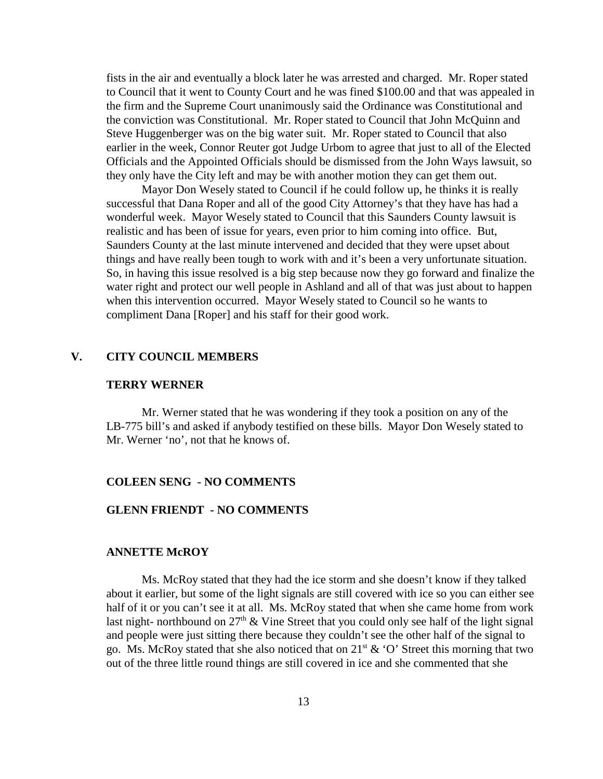fists in the air and eventually a block later he was arrested and charged. Mr. Roper stated to Council that it went to County Court and he was fined \$100.00 and that was appealed in the firm and the Supreme Court unanimously said the Ordinance was Constitutional and the conviction was Constitutional. Mr. Roper stated to Council that John McQuinn and Steve Huggenberger was on the big water suit. Mr. Roper stated to Council that also earlier in the week, Connor Reuter got Judge Urbom to agree that just to all of the Elected Officials and the Appointed Officials should be dismissed from the John Ways lawsuit, so they only have the City left and may be with another motion they can get them out.

Mayor Don Wesely stated to Council if he could follow up, he thinks it is really successful that Dana Roper and all of the good City Attorney's that they have has had a wonderful week. Mayor Wesely stated to Council that this Saunders County lawsuit is realistic and has been of issue for years, even prior to him coming into office. But, Saunders County at the last minute intervened and decided that they were upset about things and have really been tough to work with and it's been a very unfortunate situation. So, in having this issue resolved is a big step because now they go forward and finalize the water right and protect our well people in Ashland and all of that was just about to happen when this intervention occurred. Mayor Wesely stated to Council so he wants to compliment Dana [Roper] and his staff for their good work.

## **V. CITY COUNCIL MEMBERS**

#### **TERRY WERNER**

Mr. Werner stated that he was wondering if they took a position on any of the LB-775 bill's and asked if anybody testified on these bills. Mayor Don Wesely stated to Mr. Werner 'no', not that he knows of.

#### **COLEEN SENG - NO COMMENTS**

## **GLENN FRIENDT - NO COMMENTS**

#### **ANNETTE McROY**

Ms. McRoy stated that they had the ice storm and she doesn't know if they talked about it earlier, but some of the light signals are still covered with ice so you can either see half of it or you can't see it at all. Ms. McRoy stated that when she came home from work last night- northbound on  $27<sup>th</sup>$  & Vine Street that you could only see half of the light signal and people were just sitting there because they couldn't see the other half of the signal to go. Ms. McRoy stated that she also noticed that on  $21<sup>st</sup>$  & 'O' Street this morning that two out of the three little round things are still covered in ice and she commented that she